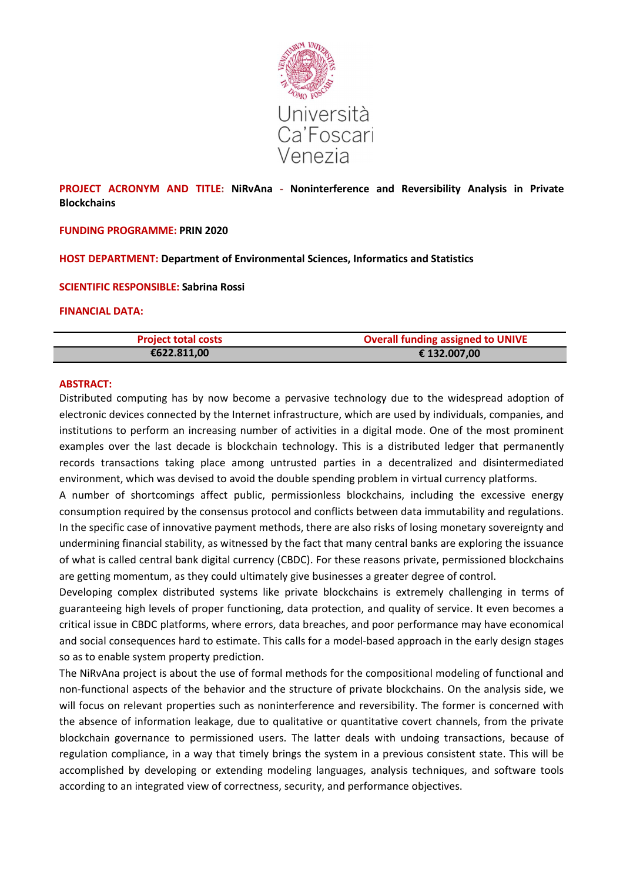

# **PROJECT ACRONYM AND TITLE: NiRvAna - Noninterference and Reversibility Analysis in Private Blockchains**

### **FUNDING PROGRAMME: PRIN 2020**

**HOST DEPARTMENT: Department of Environmental Sciences, Informatics and Statistics** 

#### **SCIENTIFIC RESPONSIBLE: Sabrina Rossi**

#### **FINANCIAL DATA:**

| <b>Project total costs</b> | <b>Overall funding assigned to UNIVE</b> |
|----------------------------|------------------------------------------|
| €622.811,00                | € 132.007,00                             |

### **ABSTRACT:**

Distributed computing has by now become a pervasive technology due to the widespread adoption of electronic devices connected by the Internet infrastructure, which are used by individuals, companies, and institutions to perform an increasing number of activities in a digital mode. One of the most prominent examples over the last decade is blockchain technology. This is a distributed ledger that permanently records transactions taking place among untrusted parties in a decentralized and disintermediated environment, which was devised to avoid the double spending problem in virtual currency platforms.

A number of shortcomings affect public, permissionless blockchains, including the excessive energy consumption required by the consensus protocol and conflicts between data immutability and regulations. In the specific case of innovative payment methods, there are also risks of losing monetary sovereignty and undermining financial stability, as witnessed by the fact that many central banks are exploring the issuance of what is called central bank digital currency (CBDC). For these reasons private, permissioned blockchains are getting momentum, as they could ultimately give businesses a greater degree of control.

Developing complex distributed systems like private blockchains is extremely challenging in terms of guaranteeing high levels of proper functioning, data protection, and quality of service. It even becomes a critical issue in CBDC platforms, where errors, data breaches, and poor performance may have economical and social consequences hard to estimate. This calls for a model-based approach in the early design stages so as to enable system property prediction.

The NiRvAna project is about the use of formal methods for the compositional modeling of functional and non-functional aspects of the behavior and the structure of private blockchains. On the analysis side, we will focus on relevant properties such as noninterference and reversibility. The former is concerned with the absence of information leakage, due to qualitative or quantitative covert channels, from the private blockchain governance to permissioned users. The latter deals with undoing transactions, because of regulation compliance, in a way that timely brings the system in a previous consistent state. This will be accomplished by developing or extending modeling languages, analysis techniques, and software tools according to an integrated view of correctness, security, and performance objectives.